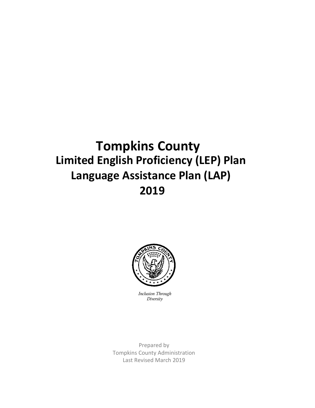# **Tompkins County Limited English Proficiency (LEP) Plan Language Assistance Plan (LAP) 2019**



*Inclusion Through Diversity*

Prepared by Tompkins County Administration Last Revised March 2019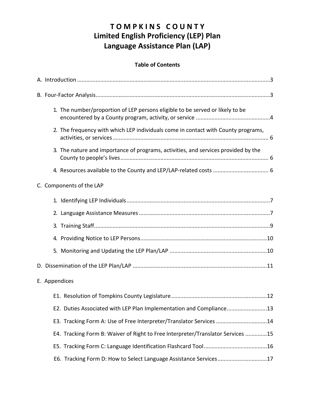# **T O M P K I N S C O U N T Y Limited English Proficiency (LEP) Plan Language Assistance Plan (LAP)**

# **Table of Contents**

| 1. The number/proportion of LEP persons eligible to be served or likely to be      |
|------------------------------------------------------------------------------------|
| 2. The frequency with which LEP individuals come in contact with County programs,  |
| 3. The nature and importance of programs, activities, and services provided by the |
|                                                                                    |
| C. Components of the LAP                                                           |
|                                                                                    |
|                                                                                    |
|                                                                                    |
|                                                                                    |
|                                                                                    |
|                                                                                    |
| E. Appendices                                                                      |
|                                                                                    |
| E2. Duties Associated with LEP Plan Implementation and Compliance13                |
| E3. Tracking Form A: Use of Free Interpreter/Translator Services 14                |
| E4. Tracking Form B: Waiver of Right to Free Interpreter/Translator Services 15    |
|                                                                                    |
| E6. Tracking Form D: How to Select Language Assistance Services17                  |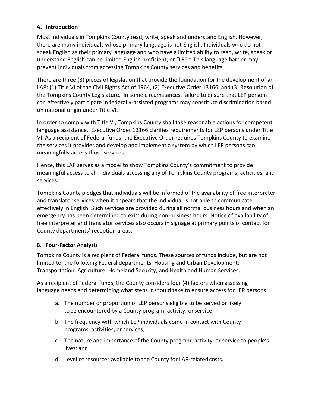# **A. Introduction**

Most individuals in Tompkins County read, write, speak and understand English. However, there are many individuals whose primary language is not English. Individuals who do not speak English as their primary language and who have a limited ability to read, write, speak or understand English can be limited English proficient, or "LEP." This language barrier may prevent individuals from accessing Tompkins County services and benefits.

There are three (3) pieces of legislation that provide the foundation for the development of an LAP: (1) Title VI of the Civil Rights Act of 1964, (2) Executive Order 13166, and (3) Resolution of the Tompkins County Legislature. In some circumstances, failure to ensure that LEP persons can effectively participate in federally-assisted programs may constitute discrimination based on national origin under Title VI.

In order to comply with Title VI, Tompkins County shall take reasonable actions for competent language assistance. Executive Order 13166 clarifies requirements for LEP persons under Title VI. As a recipient of Federal funds, the Executive Order requires Tompkins County to examine the services it provides and develop and implement a system by which LEP persons can meaningfully access those services.

Hence, this LAP serves as a model to show Tompkins County's commitment to provide meaningful access to all individuals accessing any of Tompkins County programs, activities, and services.

Tompkins County pledges that individuals will be informed of the availability of free interpreter and translator services when it appears that the individual is not able to communicate effectively in English. Such services are provided during all normal business hours and when an emergency has been determined to exist during non-business hours. Notice of availability of free interpreter and translator services also occurs in signage at primary points of contact for County departments' reception areas.

# **B. Four-Factor Analysis**

Tompkins County is a recipient of Federal funds. These sources of funds include, but are not limited to, the following Federal departments: Housing and Urban Development; Transportation; Agriculture; Homeland Security; and Health and Human Services.

As a recipient of Federal funds, the County considers four (4) factors when assessing language needs and determining what steps it should take to ensure access for LEP persons:

- a. The number or proportion of LEP persons eligible to be served or likely tobe encountered by a County program, activity, orservice;
- b. The frequency with which LEP individuals come in contact with County programs, activities, or services;
- c. The nature and importance of the County program, activity, or service to people's lives; and
- d. Level of resources available to the County for LAP-related costs.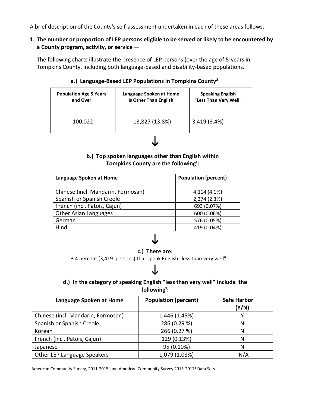A brief description of the County's self-assessment undertaken in each of these areas follows.

#### **1. The number or proportion of LEP persons eligible to be served or likely to be encountered by a County program, activity, or service** —

The following charts illustrate the presence of LEP persons (over the age of 5-years in Tompkins County, including both language-based and disability-based populations.

### **a.) Language-Based LEP Populations in Tompkins County²**

| <b>Population Age 5 Years</b> | Language Spoken at Home      | <b>Speaking English</b> |  |  |
|-------------------------------|------------------------------|-------------------------|--|--|
| and Over                      | <b>Is Other Than English</b> | "Less Than Very Well"   |  |  |
| 100,022                       | 13,827 (13.8%)               | 3,419 (3.4%)            |  |  |

# $\downarrow$

## **b.) Top spoken languages other than English within Tompkins County are the following<sup>1</sup>:**

| Language Spoken at Home            | <b>Population (percent)</b> |
|------------------------------------|-----------------------------|
| Chinese (incl. Mandarin, Formosan) | 4,114 (4.1%)                |
| Spanish or Spanish Creole          | 2,274 (2.3%)                |
| French (incl. Patois, Cajun)       | 693 (0.07%)                 |
| <b>Other Asian Languages</b>       | 600 (0.06%)                 |
| German                             | 576 (0.05%)                 |
| Hindi                              | 419 (0.04%)                 |

# $\downarrow$

#### **c.) There are:**

3.4 percent (3,419 persons) that speak English "less than very well"

# J

# **d.) In the category of speaking English "less than very well" include the**  following<sup>1</sup>:

| Language Spoken at Home            | <b>Population (percent)</b> | <b>Safe Harbor</b><br>(Y/N) |
|------------------------------------|-----------------------------|-----------------------------|
| Chinese (incl. Mandarin, Formosan) | 1,446 (1.45%)               |                             |
| Spanish or Spanish Creole          | 286 (0.29 %)                | N                           |
| Korean                             | 266 (0.27 %)                | Ν                           |
| French (incl. Patois, Cajun)       | 129 (0.13%)                 | Ν                           |
| Japanese                           | 95 (0.10%)                  | N                           |
| Other LEP Language Speakers        | 1,079 (1.08%)               | N/A                         |

American Community Survey, 2011-2015<sup>1</sup> and American Community Survey 2013-2017<sup>2</sup> Data Sets.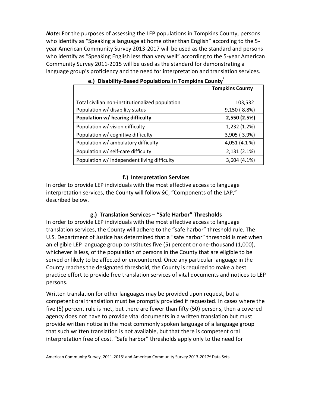*Note:* For the purposes of assessing the LEP populations in Tompkins County, persons who identify as "Speaking a language at home other than English" according to the 5 year American Community Survey 2013-2017 will be used as the standard and persons who identify as "Speaking English less than very well" according to the 5-year American Community Survey 2011-2015 will be used as the standard for demonstrating a language group's proficiency and the need for interpretation and translation services.

|                                                 | <b>Tompkins County</b> |
|-------------------------------------------------|------------------------|
| Total civilian non-institutionalized population | 103,532                |
| Population w/ disability status                 | 9,150 (8.8%)           |
| Population w/ hearing difficulty                | 2,550 (2.5%)           |
| Population w/ vision difficulty                 | 1,232 (1.2%)           |
| Population w/ cognitive difficulty              | 3,905 (3.9%)           |
| Population w/ ambulatory difficulty             | 4,051 (4.1%)           |
| Population w/ self-care difficulty              | 2,131 (2.1%)           |
| Population w/ independent living difficulty     | 3,604 (4.1%)           |

| e.) Disability-Based Populations in Tompkins County |  |  |
|-----------------------------------------------------|--|--|

#### **f.) Interpretation Services**

In order to provide LEP individuals with the most effective access to language interpretation services, the County will follow §C, "Components of the LAP," described below.

#### **g.) Translation Services – "Safe Harbor" Thresholds**

In order to provide LEP individuals with the most effective access to language translation services, the County will adhere to the "safe harbor" threshold rule. The U.S. Department of Justice has determined that a "safe harbor" threshold is met when an eligible LEP language group constitutes five (5) percent or one-thousand (1,000), whichever is less, of the population of persons in the County that are eligible to be served or likely to be affected or encountered. Once any particular language in the County reaches the designated threshold, the County is required to make a best practice effort to provide free translation services of vital documents and notices to LEP persons.

Written translation for other languages may be provided upon request, but a competent oral translation must be promptly provided if requested. In cases where the five (5) percent rule is met, but there are fewer than fifty (50) persons, then a covered agency does not have to provide vital documents in a written translation but must provide written notice in the most commonly spoken language of a language group that such written translation is not available, but that there is competent oral interpretation free of cost. "Safe harbor" thresholds apply only to the need for

American Community Survey, 2011-2015<sup>1</sup> and American Community Survey 2013-2017<sup>2</sup> Data Sets.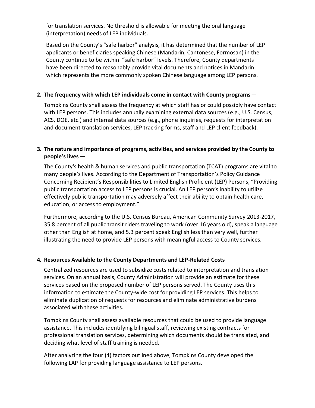for translation services. No threshold is allowable for meeting the oral language (interpretation) needs of LEP individuals.

Based on the County's "safe harbor" analysis, it has determined that the number of LEP applicants or beneficiaries speaking Chinese (Mandarin, Cantonese, Formosan) in the County continue to be within "safe harbor" levels. Therefore, County departments have been directed to reasonably provide vital documents and notices in Mandarin which represents the more commonly spoken Chinese language among LEP persons.

### **2. The frequency with which LEP individuals come in contact with County programs**—

Tompkins County shall assess the frequency at which staff has or could possibly have contact with LEP persons. This includes annually examining external data sources (e.g., U.S. Census, ACS, DOE, etc.) and internal data sources (e.g., phone inquiries, requests for interpretation and document translation services, LEP tracking forms, staff and LEP client feedback).

## <span id="page-5-0"></span>**3. The nature and importance of programs, activities, and services provided by the County to people's lives** —

The County's health & human services and public transportation (TCAT) programs are vital to many people's lives. According to the Department of Transportation's Policy Guidance Concerning Recipient's Responsibilities to Limited English Proficient (LEP) Persons, "Providing public transportation access to LEP persons is crucial. An LEP person's inability to utilize effectively public transportation may adversely affect their ability to obtain health care, education, or access to employment."

Furthermore, according to the U.S. Census Bureau, American Community Survey 2013-2017, 35.8 percent of all public transit riders traveling to work (over 16 years old), speak a language other than English at home, and 5.3 percent speak English less than very well, further illustrating the need to provide LEP persons with meaningful access to County services.

#### **4. Resources Available to the County Departments and LEP-Related Costs**—

Centralized resources are used to subsidize costs related to interpretation and translation services. On an annual basis, County Administration will provide an estimate for these services based on the proposed number of LEP persons served. The County uses this information to estimate the County-wide cost for providing LEP services. This helps to eliminate duplication of requests for resources and eliminate administrative burdens associated with these activities.

Tompkins County shall assess available resources that could be used to provide language assistance. This includes identifying bilingual staff, reviewing existing contracts for professional translation services, determining which documents should be translated, and deciding what level of staff training is needed.

After analyzing the four (4) factors outlined above, Tompkins County developed the following LAP for providing language assistance to LEP persons.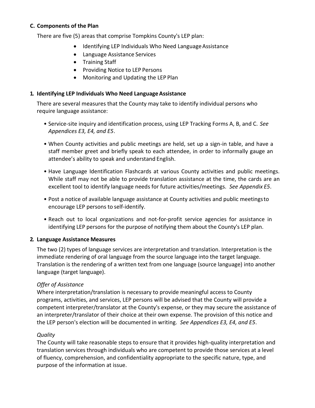#### **C. Components of the Plan**

There are five (5) areas that comprise Tompkins County's LEP plan:

- Identifying LEP Individuals Who Need Language Assistance
- Language Assistance Services
- Training Staff
- Providing Notice to LEP Persons
- Monitoring and Updating the LEP Plan

#### **1. Identifying LEP Individuals Who Need LanguageAssistance**

There are several measures that the County may take to identify individual persons who require language assistance:

- Service-site inquiry and identification process, using LEP Tracking Forms A, B, and C. *See Appendices E3, E4, and E5*.
- When County activities and public meetings are held, set up a sign-in table, and have a staff member greet and briefly speak to each attendee, in order to informally gauge an attendee's ability to speak and understand English.
- Have Language Identification Flashcards at various County activities and public meetings. While staff may not be able to provide translation assistance at the time, the cards are an excellent tool to identify language needs for future activities/meetings. *See Appendix E5*.
- Post a notice of available language assistance at County activities and public meetingsto encourage LEP persons to self-identify.
- Reach out to local organizations and not-for-profit service agencies for assistance in identifying LEP persons for the purpose of notifying them about the County's LEP plan.

#### <span id="page-6-0"></span>**2. Language Assistance Measures**

The two (2) types of language services are interpretation and translation. Interpretation is the immediate rendering of oral language from the source language into the target language. Translation is the rendering of a written text from one language (source language) into another language (target language).

#### *Offer of Assistance*

Where interpretation/translation is necessary to provide meaningful access to County programs, activities, and services, LEP persons will be advised that the County will provide a competent interpreter/translator at the County's expense, or they may secure the assistance of an interpreter/translator of their choice at their own expense. The provision of this notice and the LEP person's election will be documented in writing. *See Appendices E3, E4, and E5*.

#### *Quality*

The County will take reasonable steps to ensure that it provides high-quality interpretation and translation services through individuals who are competent to provide those services at a level of fluency, comprehension, and confidentiality appropriate to the specific nature, type, and purpose of the information at issue.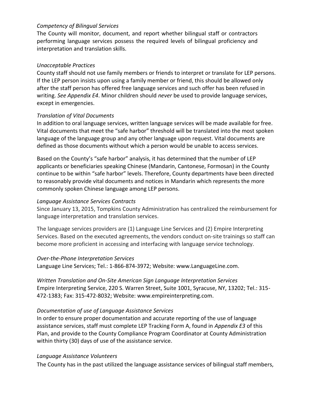#### *Competency of Bilingual Services*

The County will monitor, document, and report whether bilingual staff or contractors performing language services possess the required levels of bilingual proficiency and interpretation and translation skills.

#### *Unacceptable Practices*

County staff should not use family members or friends to interpret or translate for LEP persons. If the LEP person insists upon using a family member or friend, this should be allowed only after the staff person has offered free language services and such offer has been refused in writing. *See Appendix E4*. Minor children should *never* be used to provide language services, except in emergencies.

#### *Translation of Vital Documents*

In addition to oral language services, written language services will be made available for free. Vital documents that meet the "safe harbor" threshold will be translated into the most spoken language of the language group and any other language upon request. Vital documents are defined as those documents without which a person would be unable to access services.

Based on the County's "safe harbor" analysis, it has determined that the number of LEP applicants or beneficiaries speaking Chinese (Mandarin, Cantonese, Formosan) in the County continue to be within "safe harbor" levels. Therefore, County departments have been directed to reasonably provide vital documents and notices in Mandarin which represents the more commonly spoken Chinese language among LEP persons.

#### *Language Assistance Services Contracts*

Since January 13, 2015, Tompkins County Administration has centralized the reimbursement for language interpretation and translation services.

The language services providers are (1) Language Line Services and (2) Empire Interpreting Services. Based on the executed agreements, the vendors conduct on-site trainings so staff can become more proficient in accessing and interfacing with language service technology.

#### *Over-the-Phone Interpretation Services*

Language Line Services; Tel.: 1-866-874-3972; Website[: www.LanguageLine.com.](http://www.languageline.com/)

*Written Translation and On-Site American Sign Language Interpretation Services* Empire Interpreting Service, 220 S. Warren Street, Suite 1001, Syracuse, NY, 13202; Tel.: 315- 472-1383; Fax: 315-472-8032; Website: [www.empireinterpreting.com.](http://www.empireinterpreting.com/)

#### *Documentation of use of Language Assistance Services*

In order to ensure proper documentation and accurate reporting of the use of language assistance services, staff must complete LEP Tracking Form A, found in *Appendix E3* of this Plan, and provide to the County Compliance Program Coordinator at County Administration within thirty (30) days of use of the assistance service.

#### *Language Assistance Volunteers*

The County has in the past utilized the language assistance services of bilingual staff members,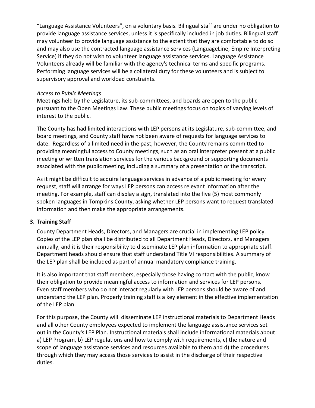"Language Assistance Volunteers", on a voluntary basis. Bilingual staff are under no obligation to provide language assistance services, unless it is specifically included in job duties. Bilingual staff may volunteer to provide language assistance to the extent that they are comfortable to do so and may also use the contracted language assistance services (LanguageLine, Empire Interpreting Service) if they do not wish to volunteer language assistance services. Language Assistance Volunteers already will be familiar with the agency's technical terms and specific programs. Performing language services will be a collateral duty for these volunteers and is subject to supervisory approval and workload constraints.

#### *Access to Public Meetings*

Meetings held by the Legislature, its sub-committees, and boards are open to the public pursuant to the Open Meetings Law. These public meetings focus on topics of varying levels of interest to the public.

The County has had limited interactions with LEP persons at its Legislature, sub-committee, and board meetings, and County staff have not been aware of requests for language services to date. Regardless of a limited need in the past, however, the County remains committed to providing meaningful access to County meetings, such as an oral interpreter present at a public meeting or written translation services for the various background or supporting documents associated with the public meeting, including a summary of a presentation or the transcript.

As it might be difficult to acquire language services in advance of a public meeting for every request, staff will arrange for ways LEP persons can access relevant information after the meeting. For example, staff can display a sign, translated into the five (5) most commonly spoken languages in Tompkins County, asking whether LEP persons want to request translated information and then make the appropriate arrangements.

#### <span id="page-8-0"></span>**3. Training Staff**

County Department Heads, Directors, and Managers are crucial in implementing LEP policy. Copies of the LEP plan shall be distributed to all Department Heads, Directors, and Managers annually, and it is their responsibility to disseminate LEP plan information to appropriate staff. Department heads should ensure that staff understand Title VI responsibilities. A summary of the LEP plan shall be included as part of annual mandatory compliance training.

It is also important that staff members, especially those having contact with the public, know their obligation to provide meaningful access to information and services for LEP persons. Even staff members who do not interact regularly with LEP persons should be aware of and understand the LEP plan. Properly training staff is a key element in the effective implementation of the LEP plan.

For this purpose, the County will disseminate LEP instructional materials to Department Heads and all other County employees expected to implement the language assistance services set out in the County's LEP Plan. Instructional materials shall include informational materials about: a) LEP Program, b) LEP regulations and how to comply with requirements, c) the nature and scope of language assistance services and resources available to them and d) the procedures through which they may access those services to assist in the discharge of their respective duties.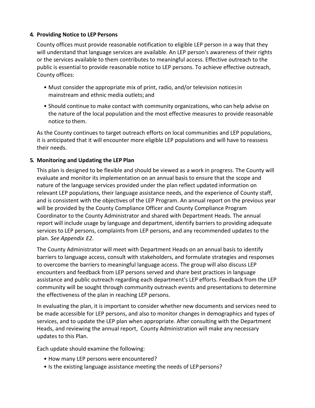#### <span id="page-9-0"></span>**4. Providing Notice to LEP Persons**

County offices must provide reasonable notification to eligible LEP person in a way that they will understand that language services are available. An LEP person's awareness of their rights or the services available to them contributes to meaningful access. Effective outreach to the public is essential to provide reasonable notice to LEP persons. To achieve effective outreach, County offices:

- Must consider the appropriate mix of print, radio, and/or television noticesin mainstream and ethnic media outlets; and
- Should continue to make contact with community organizations, who can help advise on the nature of the local population and the most effective measures to provide reasonable notice to them.

As the County continues to target outreach efforts on local communities and LEP populations, it is anticipated that it will encounter more eligible LEP populations and will have to reassess their needs.

#### **5. Monitoring and Updating the LEP Plan**

This plan is designed to be flexible and should be viewed as a work in progress. The County will evaluate and monitor its implementation on an annual basis to ensure that the scope and nature of the language services provided under the plan reflect updated information on relevant LEP populations, their language assistance needs, and the experience of County staff, and is consistent with the objectives of the LEP Program. An annual report on the previous year will be provided by the County Compliance Officer and County Compliance Program Coordinator to the County Administrator and shared with Department Heads. The annual report will include usage by language and department, identify barriers to providing adequate services to LEP persons, complaints from LEP persons, and any recommended updates to the plan. *See Appendix E2*.

The County Administrator will meet with Department Heads on an annual basis to identify barriers to language access, consult with stakeholders, and formulate strategies and responses to overcome the barriers to meaningful language access. The group will also discuss LEP encounters and feedback from LEP persons served and share best practices in language assistance and public outreach regarding each department's LEP efforts. Feedback from the LEP community will be sought through community outreach events and presentations to determine the effectiveness of the plan in reaching LEP persons.

In evaluating the plan, it is important to consider whether new documents and services need to be made accessible for LEP persons, and also to monitor changes in demographics and types of services, and to update the LEP plan when appropriate. After consulting with the Department Heads, and reviewing the annual report, County Administration will make any necessary updates to this Plan.

Each update should examine the following:

- How many LEP persons were encountered?
- Is the existing language assistance meeting the needs of LEP persons?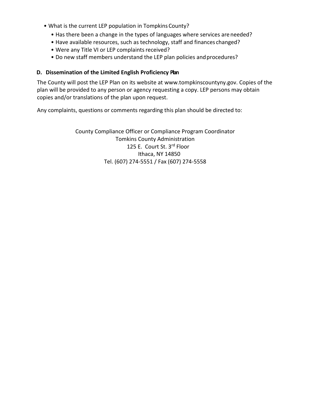- What is the current LEP population in Tompkins County?
	- Has there been a change in the types of languages where services areneeded?
	- Have available resources, such as technology, staff and finances changed?
	- Were any Title VI or LEP complaints received?
	- Do new staff members understand the LEP plan policies and procedures?

#### **D. Dissemination of the Limited English Proficiency Plan**

The County will post the LEP Plan on its website at [www.tompkinscountyny.gov.](http://www.tompkinscountyny.gov/) Copies of the plan will be provided to any person or agency requesting a copy. LEP persons may obtain copies and/or translations of the plan upon request.

Any complaints, questions or comments regarding this plan should be directed to:

County Compliance Officer or Compliance Program Coordinator Tomkins County Administration 125 E. Court St. 3rd Floor Ithaca, NY 14850 Tel. (607) 274-5551 / Fax (607) 274-5558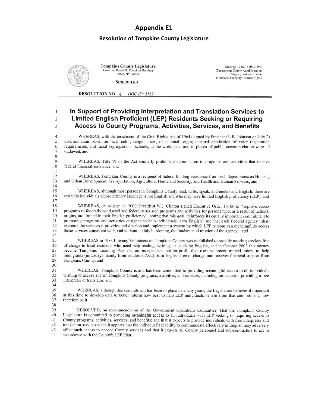# **Appendix E1 Resolution of Tompkins County Legislature**



**Tompkins County Legislature** nor Daniel D. Tompkins Building<br>Ithaca, NY 14850

Meeting: 12/02/14 05:30 PM Department: County Administration Category: Administrative<br>Functional Category: Human Rights

**SCHEDULED** 

**RESOLUTION NO.** q DOC ID: 5182

#### In Support of Providing Interpretation and Translation Services to  $\mathbf{I}$ Limited English Proficient (LEP) Residents Seeking or Requiring  $\overline{2}$ **Access to County Programs, Activities, Services, and Benefits**  $\mathbf{3}$

WHEREAS, with the enactment of the Civil Rights Act of 1964 (signed by President L.B. Johnson on July 2) discrimination based on race, color, religion, sex, or national origin; unequal application of voter registration requirements; and racial segregation in schools, at the workplace, and in places of public accommodation were all outlawed, and

 $\overline{9}$ WHEREAS, Title VI of the Act similarly prohibits discrimination in programs and activities that receive 10 federal financial assistance, and 11

WHEREAS, Tompkins County is a recipient of federal funding assistance from such departments as Housing and Urban Development, Transportation, Agriculture, Homeland Security, and Health and Human Services, and

WHEREAS, although most persons in Tompkins County read, write, speak, and understand English, there are certainly individuals whose primary language is not English and who may have limited English proficiency (LEP), and

WHEREAS, on August 11, 2000, President W.J. Clinton signed Executive Order 13166 to "improve access 18 19 programs to federally conducted and federally assisted programs and activities for persons who, as a result of national origins, are limited in their English proficiency", noting that this goal "reinforces its equally important commitment to 20 21 promoting programs and activities designed to help individuals learn English" and that each Federal agency "shall  $22$ examine the services it provides and develop and implement a system by which LEP persons can meaningfully access 23 those services consistent with, and without unduly burdening, the fundamental mission of the agency", and

 $24$ 

 $\overline{4}$ 

5

6

 $\overline{7}$ 

 $\,$  8  $\,$ 

12

13

14 15

16

 $17$ 

25 WHEREAS in 1983 Literacy Volunteers of Tompkins County was established to provide tutoring services free 26 of charge to local residents who need help reading, writing, or speaking English, and in October 2003 this agency 27 became Tompkins Learning Partners, an independent not-for-profit that uses volunteer trained tutors to help 28 immigrants (nowadays mainly from southeast Asia) learn English free of charge, and receives financial support from 29 Tompkins County, and 30

31 WHEREAS, Tompkins County is and has been committed to providing meaningful access to all individuals 32 wishing to access any of Tompkins County programs, activities, and services, including on occasion providing a free 33 interpreter or translator, and 34

WHEREAS, although this commitment has been in place for many years, the Legislature believes it important 35 36 at this time to develop data to better inform how best to help LEP individuals benefit from that commitment, now 37 therefore be it

38

39 RESOLVED, on recommendation of the Government Operations Committee, That the Tompkins County  $40$ Legislature is committed to providing meaningful access to all individuals with LEP seeking or requiring access to County programs, activities, services, and benefits; and that it expects to provide individuals with free interpreter and 41 42 translation services when it appears that the individual's inability to communicate effectively in English may adversely 43 affect such access to needed County services and that it expects all County personnel and sub-contractors to act in  $44$ accordance with the County's LEP Plan.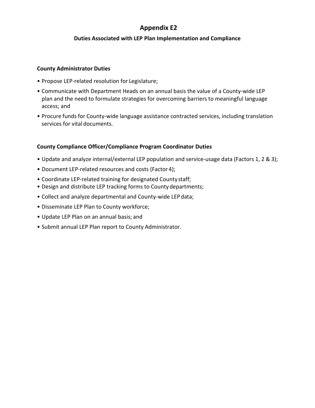#### **Duties Associated with LEP Plan Implementation and Compliance**

#### **County Administrator Duties**

- Propose LEP-related resolution for Legislature;
- Communicate with Department Heads on an annual basis the value of a County-wide LEP plan and the need to formulate strategies for overcoming barriers to meaningful language access; and
- Procure funds for County-wide language assistance contracted services, including translation services for vital documents.

#### **County Compliance Officer/Compliance Program Coordinator Duties**

- Update and analyze internal/external LEP population and service-usage data (Factors 1, 2 & 3);
- Document LEP-related resources and costs (Factor 4);
- Coordinate LEP-related training for designated Countystaff;
- Design and distribute LEP tracking forms to County departments;
- Collect and analyze departmental and County-wide LEPdata;
- Disseminate LEP Plan to County workforce;
- Update LEP Plan on an annual basis; and
- Submit annual LEP Plan report to County Administrator.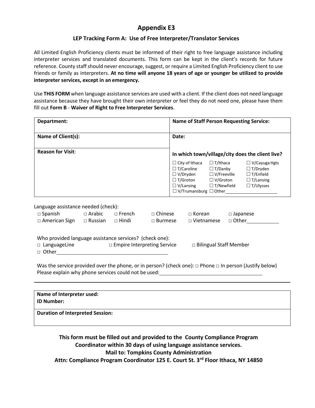#### **LEP Tracking Form A: Use of Free Interpreter/Translator Services**

All Limited English Proficiency clients must be informed of their right to free language assistance including interpreter services and translated documents. This form can be kept in the client's records for future reference. County staff should never encourage, suggest, or require a Limited English Proficiency client to use friends or family as interpreters. **At no time will anyone 18 years of age or younger be utilized to provide interpreter services, except in an emergency.**

Use **THIS FORM** when language assistance services are used with a client. If the client does not need language assistance because they have brought their own interpreter or feel they do not need one, please have them fill out **Form B** - **Waiver of Right to Free Interpreter Services**.

| Department:                                                                   |                                 |                               | <b>Name of Staff Person Requesting Service:</b>  |                                                                                                      |                                                                                                                                      |                            |                                                                                                     |
|-------------------------------------------------------------------------------|---------------------------------|-------------------------------|--------------------------------------------------|------------------------------------------------------------------------------------------------------|--------------------------------------------------------------------------------------------------------------------------------------|----------------------------|-----------------------------------------------------------------------------------------------------|
| Name of Client(s):                                                            |                                 |                               |                                                  | Date:                                                                                                |                                                                                                                                      |                            |                                                                                                     |
| <b>Reason for Visit:</b>                                                      |                                 |                               | In which town/village/city does the client live? |                                                                                                      |                                                                                                                                      |                            |                                                                                                     |
|                                                                               |                                 |                               |                                                  | $\Box$ City of Ithaca<br>$\Box$ T/Caroline<br>$\Box$ V/Dryden<br>$\Box$ T/Groton<br>$\Box$ V/Lansing | $\Box$ T/Ithaca<br>$\Box$ T/Danby<br>$\Box$ V/Freeville<br>$\Box$ V/Groton<br>$\Box$ T/Newfield<br>$\Box$ V/Trumansburg $\Box$ Other |                            | $\Box$ V/Cayuga Hgts<br>$\Box$ T/Dryden<br>$\Box$ T/Enfield<br>$\Box$ T/Lansing<br>$\Box$ T/Ulysses |
| Language assistance needed (check):<br>$\Box$ Spanish<br>$\Box$ American Sign | $\Box$ Arabic<br>$\Box$ Russian | $\Box$ French<br>$\Box$ Hindi | $\sqcap$ Chinese<br>$\Box$ Burmese               |                                                                                                      | $\Box$ Korean<br>$\Box$ Vietnamese                                                                                                   | $\Box$ Japanese<br>□ Other |                                                                                                     |

| Who provided language assistance services? (check one): |                                    |                               |
|---------------------------------------------------------|------------------------------------|-------------------------------|
| $\Box$ LanguageLine                                     | $\Box$ Empire Interpreting Service | $\Box$ Bilingual Staff Member |
| □ Other                                                 |                                    |                               |

Was the service provided over the phone, or in person? (check one): □ Phone □ In person (Justify below) Please explain why phone services could not be used:

| Name of Interpreter used:<br><b>ID Number:</b> |  |
|------------------------------------------------|--|
| <b>Duration of Interpreted Session:</b>        |  |

**This form must be filled out and provided to the County Compliance Program Coordinator within 30 days of using language assistance services. Mail to: Tompkins County Administration Attn: Compliance Program Coordinator 125 E. Court St. 3rd Floor Ithaca, NY 14850**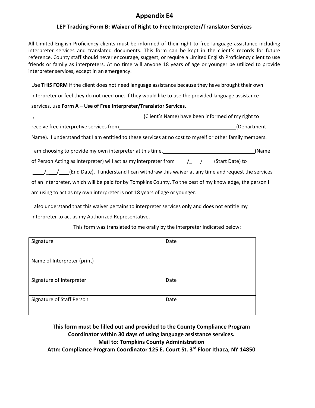#### **LEP Tracking Form B: Waiver of Right to Free Interpreter/Translator Services**

All Limited English Proficiency clients must be informed of their right to free language assistance including interpreter services and translated documents. This form can be kept in the client's records for future reference. County staff should never encourage, suggest, or require a Limited English Proficiency client to use friends or family as interpreters. At no time will anyone 18 years of age or younger be utilized to provide interpreter services, except in an emergency.

Use **THIS FORM** if the client does not need language assistance because they have brought their own

interpreter or feel they do not need one. If they would like to use the provided language assistance

#### services, use **Form A – Use of Free Interpreter/Translator Services.**

| (Client's Name) have been informed of my right to                                                       |       |
|---------------------------------------------------------------------------------------------------------|-------|
| receive free interpretive services from<br>(Department                                                  |       |
| Name). I understand that I am entitled to these services at no cost to myself or other family members.  |       |
| I am choosing to provide my own interpreter at this time.                                               | (Name |
| of Person Acting as Interpreter) will act as my interpreter from $\left/$ / (Start Date) to             |       |
| (End Date). I understand I can withdraw this waiver at any time and request the services                |       |
| of an interpreter, which will be paid for by Tompkins County. To the best of my knowledge, the person I |       |

am using to act as my own interpreter is not 18 years of age or younger.

I also understand that this waiver pertains to interpreter services only and does not entitle my interpreter to act as my Authorized Representative.

| Signature                   | Date |
|-----------------------------|------|
|                             |      |
| Name of Interpreter (print) |      |
| Signature of Interpreter    | Date |
| Signature of Staff Person   | Date |

This form was translated to me orally by the interpreter indicated below:

**This form must be filled out and provided to the County Compliance Program Coordinator within 30 days of using language assistance services. Mail to: Tompkins County Administration** 

**Attn: Compliance Program Coordinator 125 E. Court St. 3rd Floor Ithaca, NY 14850**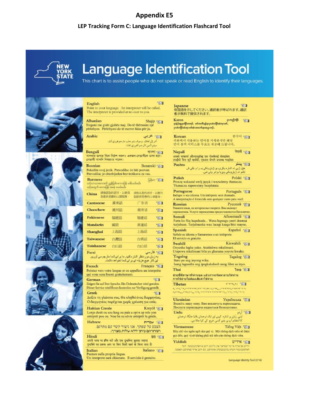#### **LEP Tracking Form C: Language Identification Flashcard Tool**



# **Language Identification Tool**

50

This chart is to assist people who do not speak or read English to identify their languages.









Point to your language. An interpreter will be called. The interpreter is provided at no cost to you.

Shqip &u Albanian Tregoni me gisht gjuhën tuaj. Do të thërrasim një përkthyes. Përkthyesi do të merret falas për ju.

English

Shanghai

| Arabic | 31 هزين                                   |
|--------|-------------------------------------------|
|        | أشر إلى لغتك. وسوف يتم حلب مترجم فوري لك. |
|        | سيتم تأمين المترجم الفوري بحانا.          |

ৰাংলা প্ৰত্য Bengali আপনার ভাষার নিকে নির্দেশ করুন। একজন সোভাষীকে ভাকা হবে। লোভাষী আপনি নিথরচার পাকেন।

| <b>Bosnian</b>                                  | Bosanski 591 |
|-------------------------------------------------|--------------|
| Pokažite svoj jezik. Prevodilac će biti pozvan. |              |
| Prevodilac je obezbijeđen bez troškova za vas.  |              |

**Burmese** 同和 万川 သင်္ဘောသာတော့၏ ညွှန်ပြပဲ၊ ကေားပြန် မေါ်ပေးခဲ့ပေါ်။<br>သင့်အတွက် ကောင့်နို အခမဲ့ ပေးပဲပော်၊

| China            | 請指認您的語言·以便爲<br>您提供発費的口障服務。 |     | 请指认您的语言,以便为<br>您提供至费的口译服务。 |                |
|------------------|----------------------------|-----|----------------------------|----------------|
| <b>Cantonese</b> |                            | 廣東話 | 广东话                        | 721            |
| Chaochow         |                            | 潮州話 | 潮州话                        | <b>120</b>     |
| <b>Fukienese</b> |                            | 福建語 | 福建话                        | 721            |
| Mandarin         |                            | 國曆  | 普通话                        | 7 <sub>2</sub> |

| Farsi            |     |     | 751 فارسى |
|------------------|-----|-----|-----------|
| Toishanese       | 台山話 | 台山话 | 731       |
| <b>Taiwanese</b> | 台灣話 | 台湾话 | 791       |
|                  |     |     |           |

上海话

 $550$ 

上海話

.<br>به زیان موردنظر اشاره کنید ما بر ای شما مترجم می آوریم.<br>این کار هیچ هزینه ای بر ای شما نخواهد داشت.

| .                                                                                                                                   | Trancars F.M.                                                                    |
|-------------------------------------------------------------------------------------------------------------------------------------|----------------------------------------------------------------------------------|
| Pointez vers votre langue et on appellera un interprète<br>qui vous sera fourni gratuitement.                                       |                                                                                  |
| German<br>Zeigen Sie auf Ihre Sprache. Ein Dolmetscher wird gerufen.<br>Dieser Service wird Ihnen kostenlos zur Verfügung gestellt. | 7.1                                                                              |
| Greek<br>Δείξτε τη γλώσσα σας. Θα κληθεί ένας διερμηνέας.<br>Ο διερμηνέας παρέχεται χωρίς χρέωση για εσάς.                          | 751                                                                              |
| <b>Haitian Creole</b><br>Lonje dwét ou sou lang ou pale a epi n ap rele yon<br>entèprèt pou ou. Nou ba ou sèvis entèprèt la gratis. | Kreyol <b>BI</b>                                                                 |
| Hebrew                                                                                                                              | ווא עברית<br>הצבע על שפתך. אנו ניצור קשר עם מתרגם.<br>המתרגם ניתן ללא עלות מצדר. |
| Hindi<br>अपनी भाषा पर इतित करें और एक दुर्भाषिय बुलाया जाएगा।<br>दश्वमिने का प्रकथ आप पर बिना किसी खर्च के किया जाता है।            | 简句                                                                               |
| Italian<br>Puntare sulla propria lingua.                                                                                            | Italiano <b>TEI</b>                                                              |

Un interprete sarà chiamato. Il servizio è gratuito.

551 Japanese<br>母国語を示してください。通訳者が呼ばれます。通訳 者が無料で提供されます。

gunglook FED Karen နေနှစ်ရာတော်တော့န်. တင်္ကာတီးနှုန်းမှာတဲ့ကျိုာ်ထံကူးတင်. ပုံးတဲကြိုက်ကူးတါဆံးတလက်နာအပွာတုန်.

한국어 주의 Korean 귀하께서 사용하는 언어를 지적하시면 해당 언어 통역 서비스를 무료로 제공해 드립니다. नेपाली न्द्र्या Nepali आको भाषातर्थ औल्याउनुहोस् एक योभगेलाई बोलाइनेश।<br>तपाईंको बिना कुनै खर्कको, एकतना योभाषे उपलब्ध गराइनेश। 30 ينتو Pashto خپل ژبې نه اشاره وکړۍ يو ژباړونکي په را و بللې ش تائلو تہ زباوونکی ویزیا برابر ولی شی۔ Polski TEL Polish Proszę wskazać swój język i wezwiemy tłumacza. Tłumacza zapewnimy bezpłatnie. Portuguese Português &1 Indique o seu idioma. Um intérprete será chamado. A interpretação é fornecida sem qualquer custo para você. Русский ⊛п Russian Укажите язык, на котором вы говорите. Вам вызовут переводувика. Услуги переводчика предоставляются бесплатно. Afsoomaali 201 Somali Farta ku fiiq luqadaada... Waxa laguugu yeeri doonaa turjubaan. Turjubaanka wax lacagi kaaga bixi mayso. Español 221 Spanish Señale su idioma y llamaremos a un intérprete. El servicio es gratuito. Swahili Kiswahili 551 Onyesha lugha yako. Ataitishwa mkalimani. Utapewa mkalimani bila ya gharama yoyote kwako. Tagalog Tagalog 21 Ituro po ang inyong wika. Isang tagasalin ang ipagkakaloob nang libre sa inyo. Iva EI Thai ช่วยขี้ที่ภาษาที่ทำนพูด แล้วเราจะจัดหาล่ามให้ท่าน การใช้ต่ามไม่ต้องเสียคำใช้จ่าย Tibetan  $1.57$ אין איינן "דערידע", אין דערידער, אויפן איינו דער איינן איינן דער איינן איינן דער.<br>דערידער איינן דער איינן איינן דער איינן דער איינן דער איינן דער איינן דער איינן דער איינן דער איינן דער איינן  $\mathcal{O}^{\mathcal{A}}_{\mathcal{A},\mathcal{A}}\mathcal{O}^{\mathcal{A}}_{\mathcal{A},\mathcal{A}}\mathcal{O}^{\mathcal{A}}_{\mathcal{A},\mathcal{A}}\mathcal{O}^{\mathcal{A}}_{\mathcal{A},\mathcal{A}}\mathcal{O}^{\mathcal{A}}_{\mathcal{A},\mathcal{A}}\mathcal{O}^{\mathcal{A}}_{\mathcal{A},\mathcal{A}}\mathcal{O}^{\mathcal{A}}_{\mathcal{A},\mathcal{A}}\mathcal{O}^{\mathcal{A}}_{\mathcal{A},\mathcal{A}}\mathcal{O}^{\mathcal{A$ Ukrainian Українська 751 Вкажіть вашу мову. Вам викличуть перекладача. Послуги перекладача надаються безкоштовно. 13 أردو Urdu

بنی زبان پر اشاره کریں اور ایک ترجمان بلایا جایگا. ترجمان کا انتظام آپ پر ہفیر کسی خرچ کے کیا جاتا ہے. Tiếng Việt Ta Victnamese Hãy chỉ vào ngôn ngữ của quý vị. Một thông dịch viên sẽ được

gọi đến, quý vị sẽ không phải trả tiền cho thông địch viên. **Yiddish**  $w$ דיש

.<br>ווייזם אך אויף אייצר שפראך און מ"ויצט ריפן א דאלטעטשנר. דער<br>האלמפטעשר ווערט ציגעשטעלט אומזיפט, עם ויצט אייך גארנישט קאסטן.

Language Identity Tool (3/16)